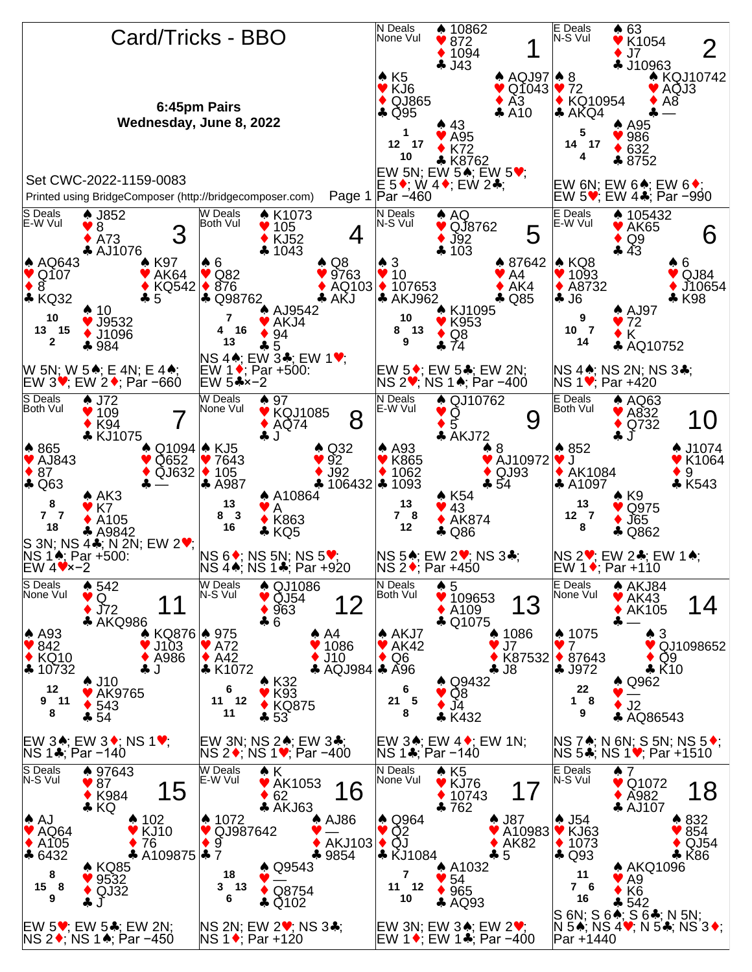